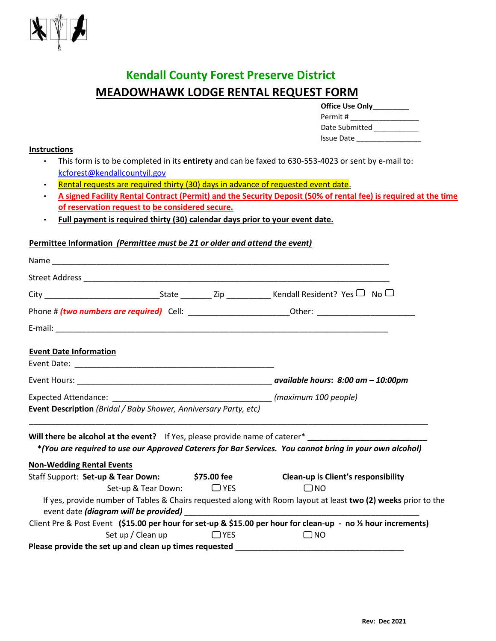

## **Kendall County Forest Preserve District MEADOWHAWK LODGE RENTAL REQUEST FORM**

| <b>Office Use Only</b> |  |  |  |  |
|------------------------|--|--|--|--|
| Permit #               |  |  |  |  |
| Date Submitted         |  |  |  |  |
| <b>Issue Date</b>      |  |  |  |  |

#### **Instructions**

- This form is to be completed in its **entirety** and can be faxed to 630-553-4023 or sent by e-mail to: kcforest@kendallcountyil.gov
- Rental requests are required thirty (30) days in advance of requested event date.
- **A signed Facility Rental Contract (Permit) and the Security Deposit (50% of rental fee) is required at the time of reservation request to be considered secure.**
- **Full payment is required thirty (30) calendar days prior to your event date.**

#### **Permittee Information** *(Permittee must be 21 or older and attend the event)*

|                                                                         |  |       | Phone # (two numbers are required) Cell: _____________________________Other: _________________________________ |
|-------------------------------------------------------------------------|--|-------|----------------------------------------------------------------------------------------------------------------|
|                                                                         |  |       |                                                                                                                |
| <b>Event Date Information</b>                                           |  |       |                                                                                                                |
|                                                                         |  |       |                                                                                                                |
|                                                                         |  |       |                                                                                                                |
|                                                                         |  |       |                                                                                                                |
| <b>Event Description</b> (Bridal / Baby Shower, Anniversary Party, etc) |  |       |                                                                                                                |
|                                                                         |  |       |                                                                                                                |
|                                                                         |  |       | *(You are required to use our Approved Caterers for Bar Services. You cannot bring in your own alcohol)        |
| <b>Non-Wedding Rental Events</b>                                        |  |       |                                                                                                                |
|                                                                         |  |       | Staff Support: Set-up & Tear Down: \$75.00 fee Clean-up is Client's responsibility                             |
| Set-up & Tear Down: $\Box$ YES                                          |  |       | $\Box$ NO                                                                                                      |
|                                                                         |  |       | If yes, provide number of Tables & Chairs requested along with Room layout at least two (2) weeks prior to the |
|                                                                         |  |       |                                                                                                                |
|                                                                         |  |       | Client Pre & Post Event (\$15.00 per hour for set-up & \$15.00 per hour for clean-up - no 1/2 hour increments) |
| Set up / Clean up                                                       |  | D YES | $\Box$ NO                                                                                                      |
| Please provide the set up and clean up times requested                  |  |       |                                                                                                                |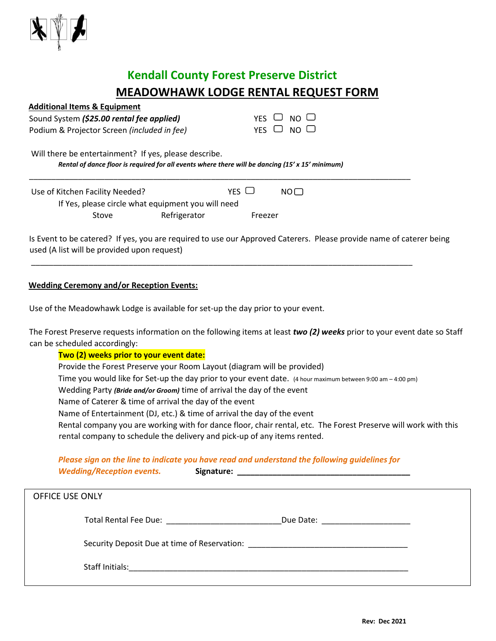

# **Kendall County Forest Preserve District MEADOWHAWK LODGE RENTAL REQUEST FORM**

| <b>Additional Items &amp; Equipment</b>                                                          |     |                      |  |
|--------------------------------------------------------------------------------------------------|-----|----------------------|--|
| Sound System (\$25.00 rental fee applied)                                                        |     | YES $\cup$ NO $\cup$ |  |
| Podium & Projector Screen (included in fee)                                                      |     | YES $\Box$ NO $\Box$ |  |
| Will there be entertainment? If yes, please describe.                                            |     |                      |  |
| Rental of dance floor is required for all events where there will be dancing (15' x 15' minimum) |     |                      |  |
| Theo of Kitchon Eacility Noodod?                                                                 | VEC | $N \cap \Box$        |  |

Use of Kitchen Facility Needed? If Yes, please circle what equipment you will need Stove Refrigerator Freezer

Is Event to be catered? If yes, you are required to use our Approved Caterers. Please provide name of caterer being used (A list will be provided upon request)

\_\_\_\_\_\_\_\_\_\_\_\_\_\_\_\_\_\_\_\_\_\_\_\_\_\_\_\_\_\_\_\_\_\_\_\_\_\_\_\_\_\_\_\_\_\_\_\_\_\_\_\_\_\_\_\_\_\_\_\_\_\_\_\_\_\_\_\_\_\_\_\_\_\_\_\_\_\_\_\_\_\_\_\_\_\_

### **Wedding Ceremony and/or Reception Events:**

Use of the Meadowhawk Lodge is available for set-up the day prior to your event.

Staff Initials: The state of the state of the state of the state of the state of the state of the state of the state of the state of the state of the state of the state of the state of the state of the state of the state o

The Forest Preserve requests information on the following items at least *two (2) weeks* prior to your event date so Staff can be scheduled accordingly:

### **Two (2) weeks prior to your event date:**

Provide the Forest Preserve your Room Layout (diagram will be provided) Time you would like for Set-up the day prior to your event date. (4 hour maximum between 9:00 am – 4:00 pm) Wedding Party *(Bride and/or Groom)* time of arrival the day of the event Name of Caterer & time of arrival the day of the event Name of Entertainment (DJ, etc.) & time of arrival the day of the event Rental company you are working with for dance floor, chair rental, etc. The Forest Preserve will work with this rental company to schedule the delivery and pick-up of any items rented.

#### *Please sign on the line to indicate you have read and understand the following guidelines for*

| <b>Wedding/Reception events.</b>                                                                                                                                                                                               | I ICUSC SIGH ON the line to mulcute you have read and anaerstand the following guidelines for                                                                                                                                  |  |
|--------------------------------------------------------------------------------------------------------------------------------------------------------------------------------------------------------------------------------|--------------------------------------------------------------------------------------------------------------------------------------------------------------------------------------------------------------------------------|--|
| <b>OFFICE USE ONLY</b>                                                                                                                                                                                                         |                                                                                                                                                                                                                                |  |
| Total Rental Fee Due: The Contract of the Contract of the Contract of the Contract of the Contract of the Contract of the Contract of the Contract of the Contract of the Contract of the Contract of the Contract of the Cont | Due Date: <u>________________</u>                                                                                                                                                                                              |  |
|                                                                                                                                                                                                                                | Security Deposit Due at time of Reservation: Letter and the control of the control of the control of the control of the control of the control of the control of the control of the control of the control of the control of t |  |

**Rev: Dec 2021**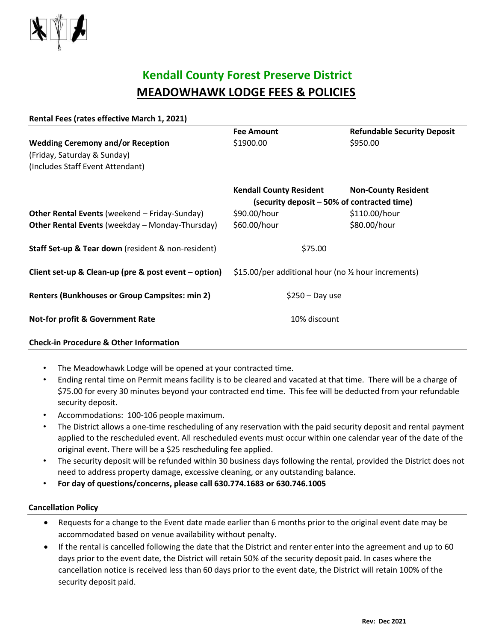

## **Kendall County Forest Preserve District MEADOWHAWK LODGE FEES & POLICIES**

| Rental Fees (rates effective March 1, 2021)            |                                                      |                                    |  |
|--------------------------------------------------------|------------------------------------------------------|------------------------------------|--|
|                                                        | <b>Fee Amount</b>                                    | <b>Refundable Security Deposit</b> |  |
| <b>Wedding Ceremony and/or Reception</b>               | \$1900.00                                            | \$950.00                           |  |
| (Friday, Saturday & Sunday)                            |                                                      |                                    |  |
| (Includes Staff Event Attendant)                       |                                                      |                                    |  |
|                                                        | <b>Kendall County Resident</b>                       | <b>Non-County Resident</b>         |  |
|                                                        | (security deposit – 50% of contracted time)          |                                    |  |
| <b>Other Rental Events (weekend - Friday-Sunday)</b>   | \$90.00/hour                                         | \$110.00/hour                      |  |
| <b>Other Rental Events (weekday - Monday-Thursday)</b> | \$60.00/hour                                         | \$80.00/hour                       |  |
| Staff Set-up & Tear down (resident & non-resident)     | \$75.00                                              |                                    |  |
| Client set-up & Clean-up (pre & post event – option)   | \$15.00/per additional hour (no 1/2 hour increments) |                                    |  |
| <b>Renters (Bunkhouses or Group Campsites: min 2)</b>  | $$250 - Day$ use                                     |                                    |  |
| <b>Not-for profit &amp; Government Rate</b>            | 10% discount                                         |                                    |  |
|                                                        |                                                      |                                    |  |

### **Check-in Procedure & Other Information**

- The Meadowhawk Lodge will be opened at your contracted time.
- Ending rental time on Permit means facility is to be cleared and vacated at that time. There will be a charge of \$75.00 for every 30 minutes beyond your contracted end time. This fee will be deducted from your refundable security deposit.
- Accommodations: 100-106 people maximum.
- The District allows a one-time rescheduling of any reservation with the paid security deposit and rental payment applied to the rescheduled event. All rescheduled events must occur within one calendar year of the date of the original event. There will be a \$25 rescheduling fee applied.
- The security deposit will be refunded within 30 business days following the rental, provided the District does not need to address property damage, excessive cleaning, or any outstanding balance.
- **For day of questions/concerns, please call 630.774.1683 or 630.746.1005**

#### **Cancellation Policy**

- Requests for a change to the Event date made earlier than 6 months prior to the original event date may be accommodated based on venue availability without penalty.
- If the rental is cancelled following the date that the District and renter enter into the agreement and up to 60 days prior to the event date, the District will retain 50% of the security deposit paid. In cases where the cancellation notice is received less than 60 days prior to the event date, the District will retain 100% of the security deposit paid.